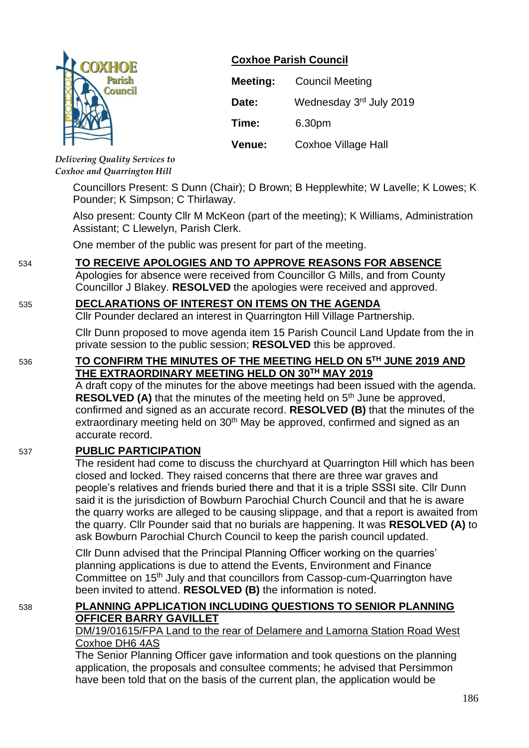

# **Coxhoe Parish Council**

| <b>Meeting:</b> | <b>Council Meeting</b>  |
|-----------------|-------------------------|
| Date:           | Wednesday 3rd July 2019 |
| Time:           | 6.30pm                  |
| Venue:          | Coxhoe Village Hall     |

*Delivering Quality Services to Coxhoe and Quarrington Hill*

> Councillors Present: S Dunn (Chair); D Brown; B Hepplewhite; W Lavelle; K Lowes; K Pounder; K Simpson; C Thirlaway.

> Also present: County Cllr M McKeon (part of the meeting); K Williams, Administration Assistant; C Llewelyn, Parish Clerk.

One member of the public was present for part of the meeting.

# 534 **TO RECEIVE APOLOGIES AND TO APPROVE REASONS FOR ABSENCE**

Apologies for absence were received from Councillor G Mills, and from County Councillor J Blakey. **RESOLVED** the apologies were received and approved.

### 535 **DECLARATIONS OF INTEREST ON ITEMS ON THE AGENDA**

Cllr Pounder declared an interest in Quarrington Hill Village Partnership.

Cllr Dunn proposed to move agenda item 15 Parish Council Land Update from the in private session to the public session; **RESOLVED** this be approved.

## 536 **TO CONFIRM THE MINUTES OF THE MEETING HELD ON 5 TH JUNE 2019 AND THE EXTRAORDINARY MEETING HELD ON 30TH MAY 2019**

A draft copy of the minutes for the above meetings had been issued with the agenda. **RESOLVED (A)** that the minutes of the meeting held on 5<sup>th</sup> June be approved, confirmed and signed as an accurate record. **RESOLVED (B)** that the minutes of the extraordinary meeting held on 30<sup>th</sup> May be approved, confirmed and signed as an accurate record.

### 537 **PUBLIC PARTICIPATION**

The resident had come to discuss the churchyard at Quarrington Hill which has been closed and locked. They raised concerns that there are three war graves and people's relatives and friends buried there and that it is a triple SSSI site. Cllr Dunn said it is the jurisdiction of Bowburn Parochial Church Council and that he is aware the quarry works are alleged to be causing slippage, and that a report is awaited from the quarry. Cllr Pounder said that no burials are happening. It was **RESOLVED (A)** to ask Bowburn Parochial Church Council to keep the parish council updated.

Cllr Dunn advised that the Principal Planning Officer working on the quarries' planning applications is due to attend the Events, Environment and Finance Committee on 15<sup>th</sup> July and that councillors from Cassop-cum-Quarrington have been invited to attend. **RESOLVED (B)** the information is noted.

# 538 **PLANNING APPLICATION INCLUDING QUESTIONS TO SENIOR PLANNING OFFICER BARRY GAVILLET**

#### DM/19/01615/FPA Land to the rear of Delamere and Lamorna Station Road West Coxhoe DH6 4AS

The Senior Planning Officer gave information and took questions on the planning application, the proposals and consultee comments; he advised that Persimmon have been told that on the basis of the current plan, the application would be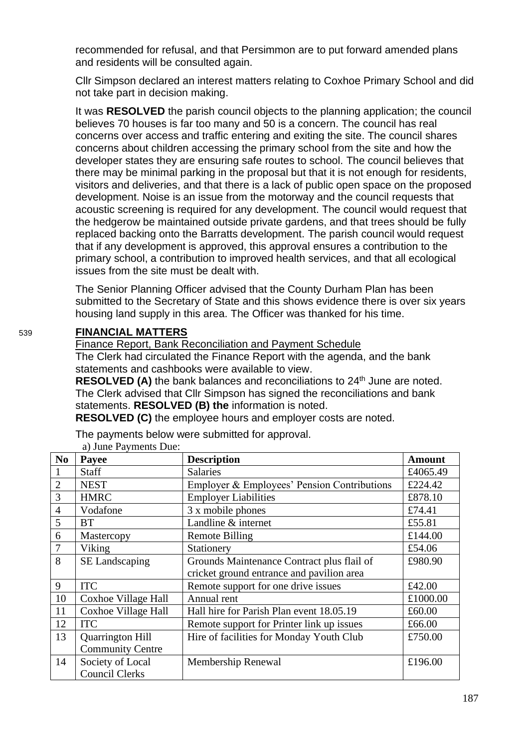recommended for refusal, and that Persimmon are to put forward amended plans and residents will be consulted again.

Cllr Simpson declared an interest matters relating to Coxhoe Primary School and did not take part in decision making.

It was **RESOLVED** the parish council objects to the planning application; the council believes 70 houses is far too many and 50 is a concern. The council has real concerns over access and traffic entering and exiting the site. The council shares concerns about children accessing the primary school from the site and how the developer states they are ensuring safe routes to school. The council believes that there may be minimal parking in the proposal but that it is not enough for residents, visitors and deliveries, and that there is a lack of public open space on the proposed development. Noise is an issue from the motorway and the council requests that acoustic screening is required for any development. The council would request that the hedgerow be maintained outside private gardens, and that trees should be fully replaced backing onto the Barratts development. The parish council would request that if any development is approved, this approval ensures a contribution to the primary school, a contribution to improved health services, and that all ecological issues from the site must be dealt with.

The Senior Planning Officer advised that the County Durham Plan has been submitted to the Secretary of State and this shows evidence there is over six years housing land supply in this area. The Officer was thanked for his time.

## 539 **FINANCIAL MATTERS**

Finance Report, Bank Reconciliation and Payment Schedule The Clerk had circulated the Finance Report with the agenda, and the bank statements and cashbooks were available to view.

RESOLVED (A) the bank balances and reconciliations to 24<sup>th</sup> June are noted. The Clerk advised that Cllr Simpson has signed the reconciliations and bank statements. **RESOLVED (B) the** information is noted.

**RESOLVED (C)** the employee hours and employer costs are noted.

The payments below were submitted for approval.

| N <sub>0</sub> | Payee                   | <b>Description</b>                                    | <b>Amount</b> |
|----------------|-------------------------|-------------------------------------------------------|---------------|
| $\mathbf{1}$   | Staff                   | <b>Salaries</b>                                       | £4065.49      |
| $\overline{2}$ | <b>NEST</b>             | Employer & Employees' Pension Contributions           | £224.42       |
| 3              | <b>HMRC</b>             | <b>Employer Liabilities</b>                           | £878.10       |
| $\overline{4}$ | Vodafone                | 3 x mobile phones                                     | £74.41        |
| 5              | <b>BT</b>               | Landline & internet                                   | £55.81        |
| 6              | Mastercopy              | Remote Billing                                        | £144.00       |
| $\overline{7}$ | Viking                  | Stationery                                            | £54.06        |
| 8              | SE Landscaping          | £980.90<br>Grounds Maintenance Contract plus flail of |               |
|                |                         | cricket ground entrance and pavilion area             |               |
| 9              | <b>ITC</b>              | Remote support for one drive issues                   | £42.00        |
| 10             | Coxhoe Village Hall     | Annual rent                                           | £1000.00      |
| 11             | Coxhoe Village Hall     | Hall hire for Parish Plan event 18.05.19              | £60.00        |
| 12             | <b>ITC</b>              | Remote support for Printer link up issues             | £66.00        |
| 13             | <b>Quarrington Hill</b> | Hire of facilities for Monday Youth Club<br>£750.00   |               |
|                | <b>Community Centre</b> |                                                       |               |
| 14             | Society of Local        | £196.00<br>Membership Renewal                         |               |
|                | <b>Council Clerks</b>   |                                                       |               |

a) June Payments Due: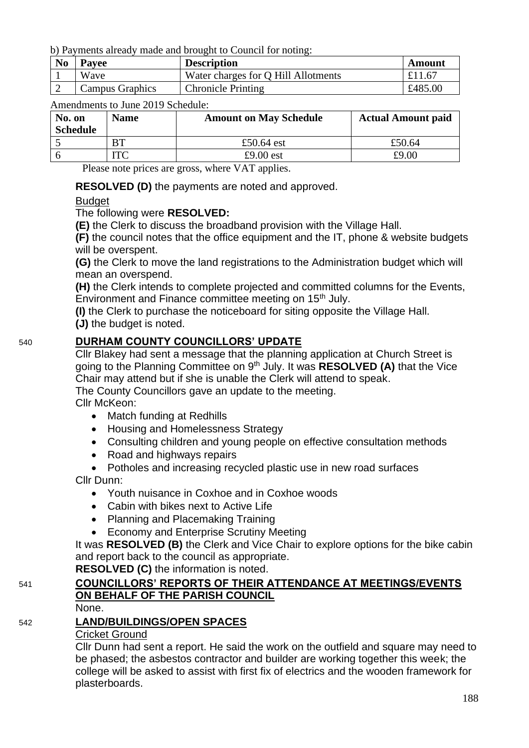b) Payments already made and brought to Council for noting:

| N <sub>0</sub> | <b>Pavee</b>           | <b>Description</b>                  | Amount  |
|----------------|------------------------|-------------------------------------|---------|
|                | Wave                   | Water charges for Q Hill Allotments | £11.67  |
|                | <b>Campus Graphics</b> | <b>Chronicle Printing</b>           | £485.00 |

Amendments to June 2019 Schedule:

| No. on<br><b>Schedule</b> | <b>Name</b> | <b>Amount on May Schedule</b> | <b>Actual Amount paid</b> |
|---------------------------|-------------|-------------------------------|---------------------------|
|                           | <b>BT</b>   | £50.64 est                    | £50.64                    |
|                           | ௱ீ          | £9.00 $est$                   | £9.00                     |

Please note prices are gross, where VAT applies.

**RESOLVED (D)** the payments are noted and approved.

## **Budget**

The following were **RESOLVED:**

**(E)** the Clerk to discuss the broadband provision with the Village Hall.

**(F)** the council notes that the office equipment and the IT, phone & website budgets will be overspent.

**(G)** the Clerk to move the land registrations to the Administration budget which will mean an overspend.

**(H)** the Clerk intends to complete projected and committed columns for the Events, Environment and Finance committee meeting on 15<sup>th</sup> July.

**(I)** the Clerk to purchase the noticeboard for siting opposite the Village Hall. **(J)** the budget is noted.

# 540 **DURHAM COUNTY COUNCILLORS' UPDATE**

Cllr Blakey had sent a message that the planning application at Church Street is going to the Planning Committee on 9th July. It was **RESOLVED (A)** that the Vice Chair may attend but if she is unable the Clerk will attend to speak.

The County Councillors gave an update to the meeting.

Cllr McKeon:

- Match funding at Redhills
- Housing and Homelessness Strategy
- Consulting children and young people on effective consultation methods
- Road and highways repairs
- Potholes and increasing recycled plastic use in new road surfaces

Cllr Dunn:

- Youth nuisance in Coxhoe and in Coxhoe woods
- Cabin with bikes next to Active Life
- Planning and Placemaking Training
- Economy and Enterprise Scrutiny Meeting

It was **RESOLVED (B)** the Clerk and Vice Chair to explore options for the bike cabin and report back to the council as appropriate.

**RESOLVED (C)** the information is noted.

# 541 **COUNCILLORS' REPORTS OF THEIR ATTENDANCE AT MEETINGS/EVENTS ON BEHALF OF THE PARISH COUNCIL**

None.

# 542 **LAND/BUILDINGS/OPEN SPACES**

### Cricket Ground

Cllr Dunn had sent a report. He said the work on the outfield and square may need to be phased; the asbestos contractor and builder are working together this week; the college will be asked to assist with first fix of electrics and the wooden framework for plasterboards.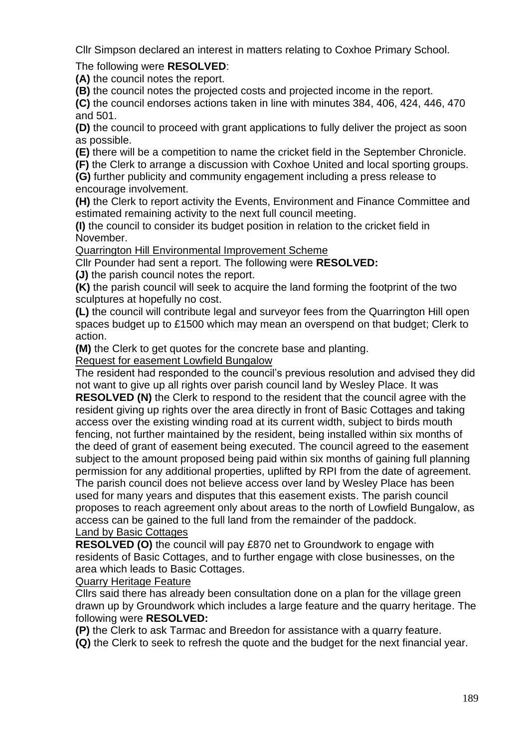Cllr Simpson declared an interest in matters relating to Coxhoe Primary School.

# The following were **RESOLVED**:

**(A)** the council notes the report.

**(B)** the council notes the projected costs and projected income in the report.

**(C)** the council endorses actions taken in line with minutes 384, 406, 424, 446, 470 and 501.

**(D)** the council to proceed with grant applications to fully deliver the project as soon as possible.

**(E)** there will be a competition to name the cricket field in the September Chronicle.

**(F)** the Clerk to arrange a discussion with Coxhoe United and local sporting groups.

**(G)** further publicity and community engagement including a press release to encourage involvement.

**(H)** the Clerk to report activity the Events, Environment and Finance Committee and estimated remaining activity to the next full council meeting.

**(I)** the council to consider its budget position in relation to the cricket field in November.

Quarrington Hill Environmental Improvement Scheme

Cllr Pounder had sent a report. The following were **RESOLVED:**

**(J)** the parish council notes the report.

**(K)** the parish council will seek to acquire the land forming the footprint of the two sculptures at hopefully no cost.

**(L)** the council will contribute legal and surveyor fees from the Quarrington Hill open spaces budget up to £1500 which may mean an overspend on that budget; Clerk to action.

**(M)** the Clerk to get quotes for the concrete base and planting.

Request for easement Lowfield Bungalow

The resident had responded to the council's previous resolution and advised they did not want to give up all rights over parish council land by Wesley Place. It was **RESOLVED (N)** the Clerk to respond to the resident that the council agree with the resident giving up rights over the area directly in front of Basic Cottages and taking access over the existing winding road at its current width, subject to birds mouth fencing, not further maintained by the resident, being installed within six months of the deed of grant of easement being executed. The council agreed to the easement subject to the amount proposed being paid within six months of gaining full planning permission for any additional properties, uplifted by RPI from the date of agreement. The parish council does not believe access over land by Wesley Place has been used for many years and disputes that this easement exists. The parish council proposes to reach agreement only about areas to the north of Lowfield Bungalow, as access can be gained to the full land from the remainder of the paddock.

## Land by Basic Cottages

**RESOLVED (O)** the council will pay £870 net to Groundwork to engage with residents of Basic Cottages, and to further engage with close businesses, on the area which leads to Basic Cottages.

Quarry Heritage Feature

Cllrs said there has already been consultation done on a plan for the village green drawn up by Groundwork which includes a large feature and the quarry heritage. The following were **RESOLVED:**

**(P)** the Clerk to ask Tarmac and Breedon for assistance with a quarry feature.

**(Q)** the Clerk to seek to refresh the quote and the budget for the next financial year.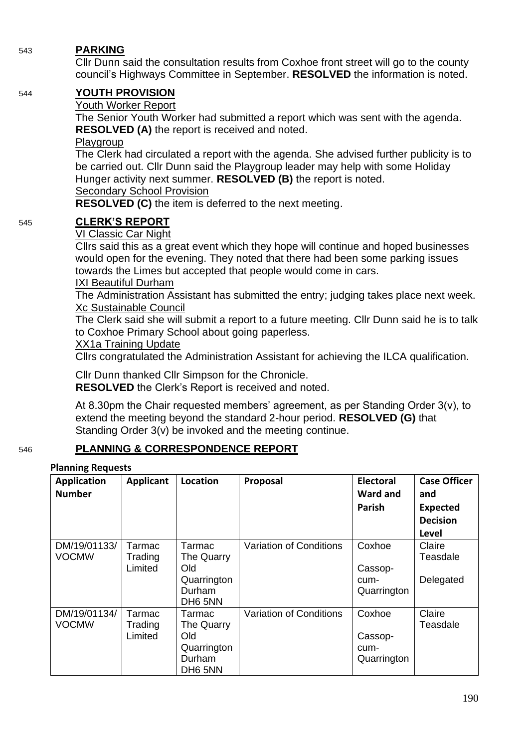# 543 **PARKING**

Cllr Dunn said the consultation results from Coxhoe front street will go to the county council's Highways Committee in September. **RESOLVED** the information is noted.

# 544 **YOUTH PROVISION**

## Youth Worker Report

The Senior Youth Worker had submitted a report which was sent with the agenda. **RESOLVED (A)** the report is received and noted.

### **Playgroup**

The Clerk had circulated a report with the agenda. She advised further publicity is to be carried out. Cllr Dunn said the Playgroup leader may help with some Holiday Hunger activity next summer. **RESOLVED (B)** the report is noted.

## Secondary School Provision

**RESOLVED (C)** the item is deferred to the next meeting.

# 545 **CLERK'S REPORT**

### VI Classic Car Night

Cllrs said this as a great event which they hope will continue and hoped businesses would open for the evening. They noted that there had been some parking issues towards the Limes but accepted that people would come in cars.

### IXI Beautiful Durham

The Administration Assistant has submitted the entry; judging takes place next week. Xc Sustainable Council

The Clerk said she will submit a report to a future meeting. Cllr Dunn said he is to talk to Coxhoe Primary School about going paperless.

## XX1a Training Update

Cllrs congratulated the Administration Assistant for achieving the ILCA qualification.

Cllr Dunn thanked Cllr Simpson for the Chronicle. **RESOLVED** the Clerk's Report is received and noted.

At 8.30pm the Chair requested members' agreement, as per Standing Order 3(v), to extend the meeting beyond the standard 2-hour period. **RESOLVED (G)** that Standing Order 3(v) be invoked and the meeting continue.

# 546 **PLANNING & CORRESPONDENCE REPORT**

#### **Planning Requests**

| <b>Application</b><br><b>Number</b> | <b>Applicant</b>             | Location                                                        | Proposal                | <b>Electoral</b><br><b>Ward and</b><br>Parish | <b>Case Officer</b><br>and<br><b>Expected</b><br><b>Decision</b><br>Level |
|-------------------------------------|------------------------------|-----------------------------------------------------------------|-------------------------|-----------------------------------------------|---------------------------------------------------------------------------|
| DM/19/01133/<br><b>VOCMW</b>        | Tarmac<br>Trading<br>Limited | Tarmac<br>The Quarry<br>Old<br>Quarrington<br>Durham<br>DH6 5NN | Variation of Conditions | Coxhoe<br>Cassop-<br>cum-<br>Quarrington      | Claire<br>Teasdale<br>Delegated                                           |
| DM/19/01134/<br><b>VOCMW</b>        | Tarmac<br>Trading<br>Limited | Tarmac<br>The Quarry<br>Old<br>Quarrington<br>Durham<br>DH6 5NN | Variation of Conditions | Coxhoe<br>Cassop-<br>cum-<br>Quarrington      | Claire<br>Teasdale                                                        |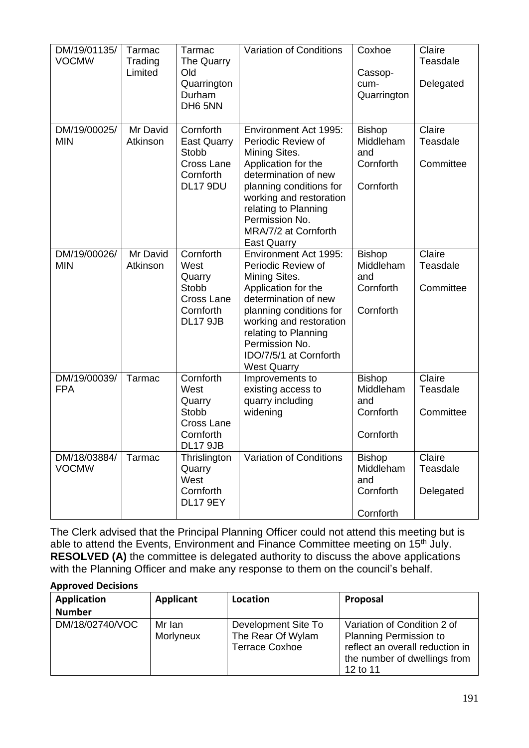| DM/19/01135/<br><b>VOCMW</b> | Tarmac<br>Trading<br>Limited | Tarmac<br>The Quarry<br>Old<br>Quarrington<br>Durham<br>DH6 5NN                           | Variation of Conditions                                                                                                                                                                                                                                     | Coxhoe<br>Cassop-<br>cum-<br>Quarrington                    | Claire<br>Teasdale<br>Delegated |
|------------------------------|------------------------------|-------------------------------------------------------------------------------------------|-------------------------------------------------------------------------------------------------------------------------------------------------------------------------------------------------------------------------------------------------------------|-------------------------------------------------------------|---------------------------------|
| DM/19/00025/<br><b>MIN</b>   | Mr David<br>Atkinson         | Cornforth<br><b>East Quarry</b><br><b>Stobb</b><br>Cross Lane<br>Cornforth<br>DL17 9DU    | Environment Act 1995:<br>Periodic Review of<br>Mining Sites.<br>Application for the<br>determination of new<br>planning conditions for<br>working and restoration<br>relating to Planning<br>Permission No.<br>MRA/7/2 at Cornforth<br><b>East Quarry</b>   | <b>Bishop</b><br>Middleham<br>and<br>Cornforth<br>Cornforth | Claire<br>Teasdale<br>Committee |
| DM/19/00026/<br><b>MIN</b>   | Mr David<br>Atkinson         | Cornforth<br>West<br>Quarry<br><b>Stobb</b><br>Cross Lane<br>Cornforth<br><b>DL17 9JB</b> | Environment Act 1995:<br>Periodic Review of<br>Mining Sites.<br>Application for the<br>determination of new<br>planning conditions for<br>working and restoration<br>relating to Planning<br>Permission No.<br>IDO/7/5/1 at Cornforth<br><b>West Quarry</b> | <b>Bishop</b><br>Middleham<br>and<br>Cornforth<br>Cornforth | Claire<br>Teasdale<br>Committee |
| DM/19/00039/<br><b>FPA</b>   | Tarmac                       | Cornforth<br>West<br>Quarry<br><b>Stobb</b><br>Cross Lane<br>Cornforth<br><b>DL17 9JB</b> | Improvements to<br>existing access to<br>quarry including<br>widening                                                                                                                                                                                       | <b>Bishop</b><br>Middleham<br>and<br>Cornforth<br>Cornforth | Claire<br>Teasdale<br>Committee |
| DM/18/03884/<br><b>VOCMW</b> | Tarmac                       | Thrislington<br>Quarry<br>West<br>Cornforth<br><b>DL17 9EY</b>                            | Variation of Conditions                                                                                                                                                                                                                                     | <b>Bishop</b><br>Middleham<br>and<br>Cornforth<br>Cornforth | Claire<br>Teasdale<br>Delegated |

The Clerk advised that the Principal Planning Officer could not attend this meeting but is able to attend the Events, Environment and Finance Committee meeting on 15<sup>th</sup> July. **RESOLVED (A)** the committee is delegated authority to discuss the above applications with the Planning Officer and make any response to them on the council's behalf.

#### **Approved Decisions**

| Application<br><b>Number</b> | Applicant           | Location                                                          | Proposal                                                                                                                                    |
|------------------------------|---------------------|-------------------------------------------------------------------|---------------------------------------------------------------------------------------------------------------------------------------------|
| DM/18/02740/VOC              | Mr Ian<br>Morlyneux | Development Site To<br>The Rear Of Wylam<br><b>Terrace Coxhoe</b> | Variation of Condition 2 of<br><b>Planning Permission to</b><br>reflect an overall reduction in<br>the number of dwellings from<br>12 to 11 |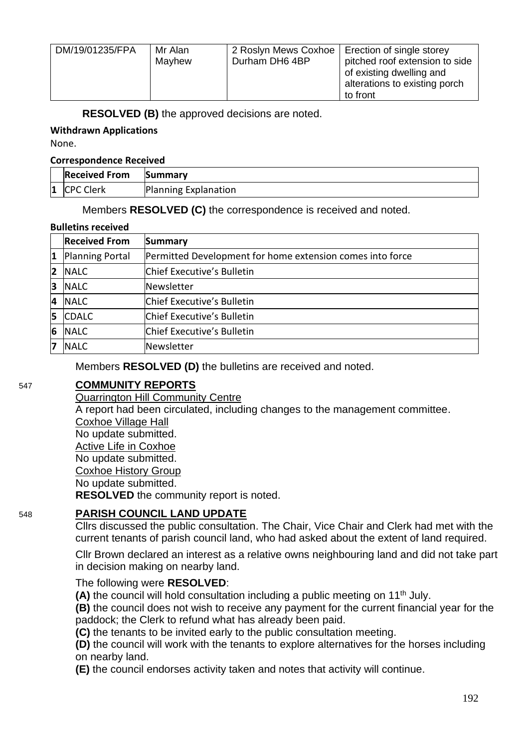| DM/19/01235/FPA | Mr Alan<br>Mayhew | Durham DH6 4BP | 2 Roslyn Mews Coxhoe   Erection of single storey<br>pitched roof extension to side<br>of existing dwelling and<br>alterations to existing porch<br>to front |
|-----------------|-------------------|----------------|-------------------------------------------------------------------------------------------------------------------------------------------------------------|

**RESOLVED (B)** the approved decisions are noted.

#### **Withdrawn Applications**

None.

#### **Correspondence Received**

| <b>Received From</b> | <b>Summary</b>       |
|----------------------|----------------------|
| 1 CPC Clerk          | Planning Explanation |

Members **RESOLVED (C)** the correspondence is received and noted.

#### **Bulletins received**

|                | <b>Received From</b> | Summary                                                   |
|----------------|----------------------|-----------------------------------------------------------|
| 1              | Planning Portal      | Permitted Development for home extension comes into force |
| $\overline{2}$ | <b>NALC</b>          | Chief Executive's Bulletin                                |
| 3              | <b>NALC</b>          | Newsletter                                                |
| 4              | <b>NALC</b>          | Chief Executive's Bulletin                                |
| 5              | <b>CDALC</b>         | Chief Executive's Bulletin                                |
| 6              | <b>NALC</b>          | Chief Executive's Bulletin                                |
| 7              | <b>NALC</b>          | Newsletter                                                |

Members **RESOLVED (D)** the bulletins are received and noted.

# 547 **COMMUNITY REPORTS**

Quarrington Hill Community Centre A report had been circulated, including changes to the management committee. Coxhoe Village Hall No update submitted. Active Life in Coxhoe No update submitted. Coxhoe History Group No update submitted. **RESOLVED** the community report is noted.

# 548 **PARISH COUNCIL LAND UPDATE**

Cllrs discussed the public consultation. The Chair, Vice Chair and Clerk had met with the current tenants of parish council land, who had asked about the extent of land required.

Cllr Brown declared an interest as a relative owns neighbouring land and did not take part in decision making on nearby land.

# The following were **RESOLVED**:

**(A)** the council will hold consultation including a public meeting on 11th July.

**(B)** the council does not wish to receive any payment for the current financial year for the paddock; the Clerk to refund what has already been paid.

**(C)** the tenants to be invited early to the public consultation meeting.

**(D)** the council will work with the tenants to explore alternatives for the horses including on nearby land.

**(E)** the council endorses activity taken and notes that activity will continue.